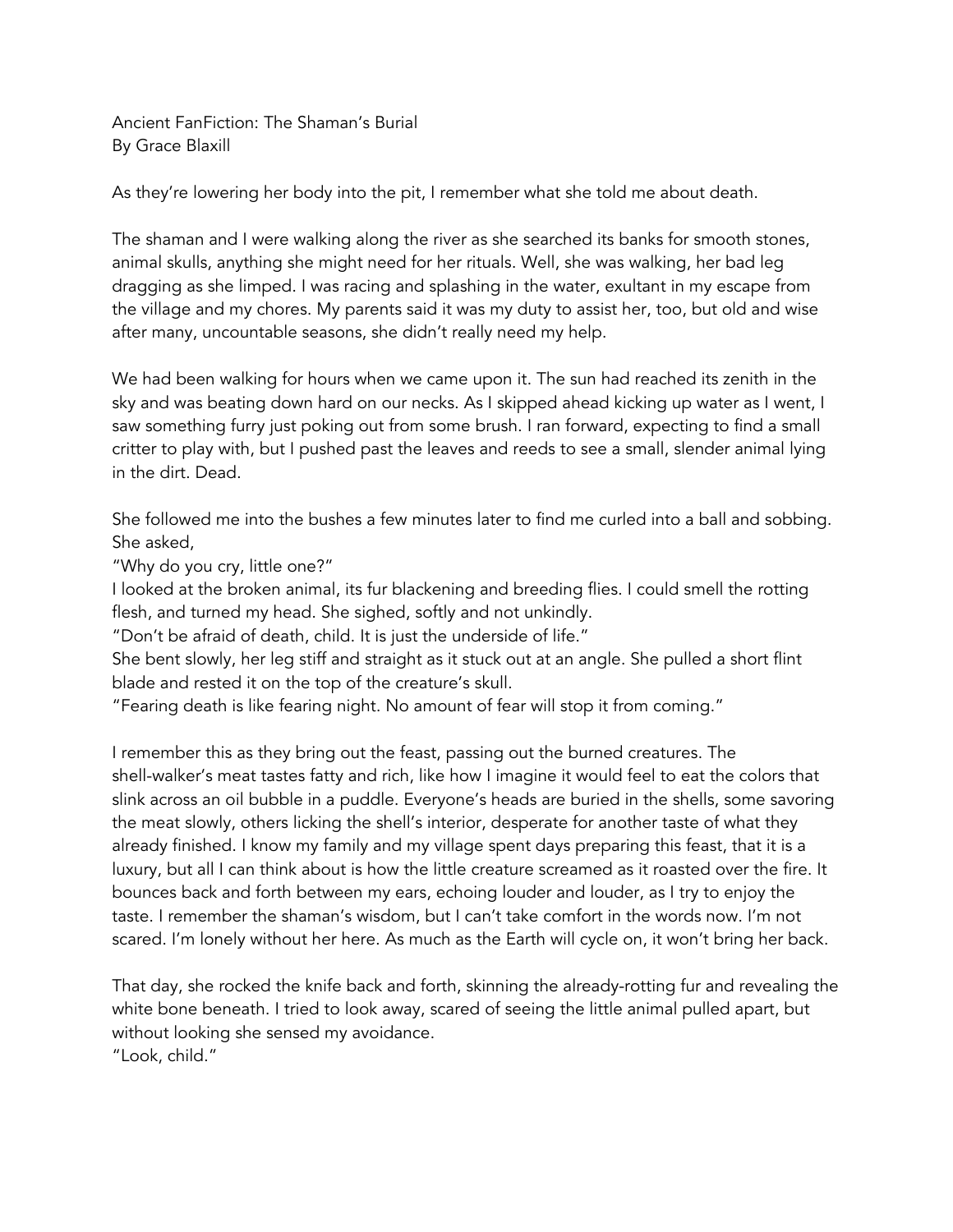Ancient FanFiction: The Shaman's Burial By Grace Blaxill

As they're lowering her body into the pit, I remember what she told me about death.

The shaman and I were walking along the river as she searched its banks for smooth stones, animal skulls, anything she might need for her rituals. Well, she was walking, her bad leg dragging as she limped. I was racing and splashing in the water, exultant in my escape from the village and my chores. My parents said it was my duty to assist her, too, but old and wise after many, uncountable seasons, she didn't really need my help.

We had been walking for hours when we came upon it. The sun had reached its zenith in the sky and was beating down hard on our necks. As I skipped ahead kicking up water as I went, I saw something furry just poking out from some brush. I ran forward, expecting to find a small critter to play with, but I pushed past the leaves and reeds to see a small, slender animal lying in the dirt. Dead.

She followed me into the bushes a few minutes later to find me curled into a ball and sobbing. She asked,

"Why do you cry, little one?"

I looked at the broken animal, its fur blackening and breeding flies. I could smell the rotting flesh, and turned my head. She sighed, softly and not unkindly.

"Don't be afraid of death, child. It is just the underside of life."

She bent slowly, her leg stiff and straight as it stuck out at an angle. She pulled a short flint blade and rested it on the top of the creature's skull.

"Fearing death is like fearing night. No amount of fear will stop it from coming."

I remember this as they bring out the feast, passing out the burned creatures. The shell-walker's meat tastes fatty and rich, like how I imagine it would feel to eat the colors that slink across an oil bubble in a puddle. Everyone's heads are buried in the shells, some savoring the meat slowly, others licking the shell's interior, desperate for another taste of what they already finished. I know my family and my village spent days preparing this feast, that it is a luxury, but all I can think about is how the little creature screamed as it roasted over the fire. It bounces back and forth between my ears, echoing louder and louder, as I try to enjoy the taste. I remember the shaman's wisdom, but I can't take comfort in the words now. I'm not scared. I'm lonely without her here. As much as the Earth will cycle on, it won't bring her back.

That day, she rocked the knife back and forth, skinning the already-rotting fur and revealing the white bone beneath. I tried to look away, scared of seeing the little animal pulled apart, but without looking she sensed my avoidance.

"Look, child."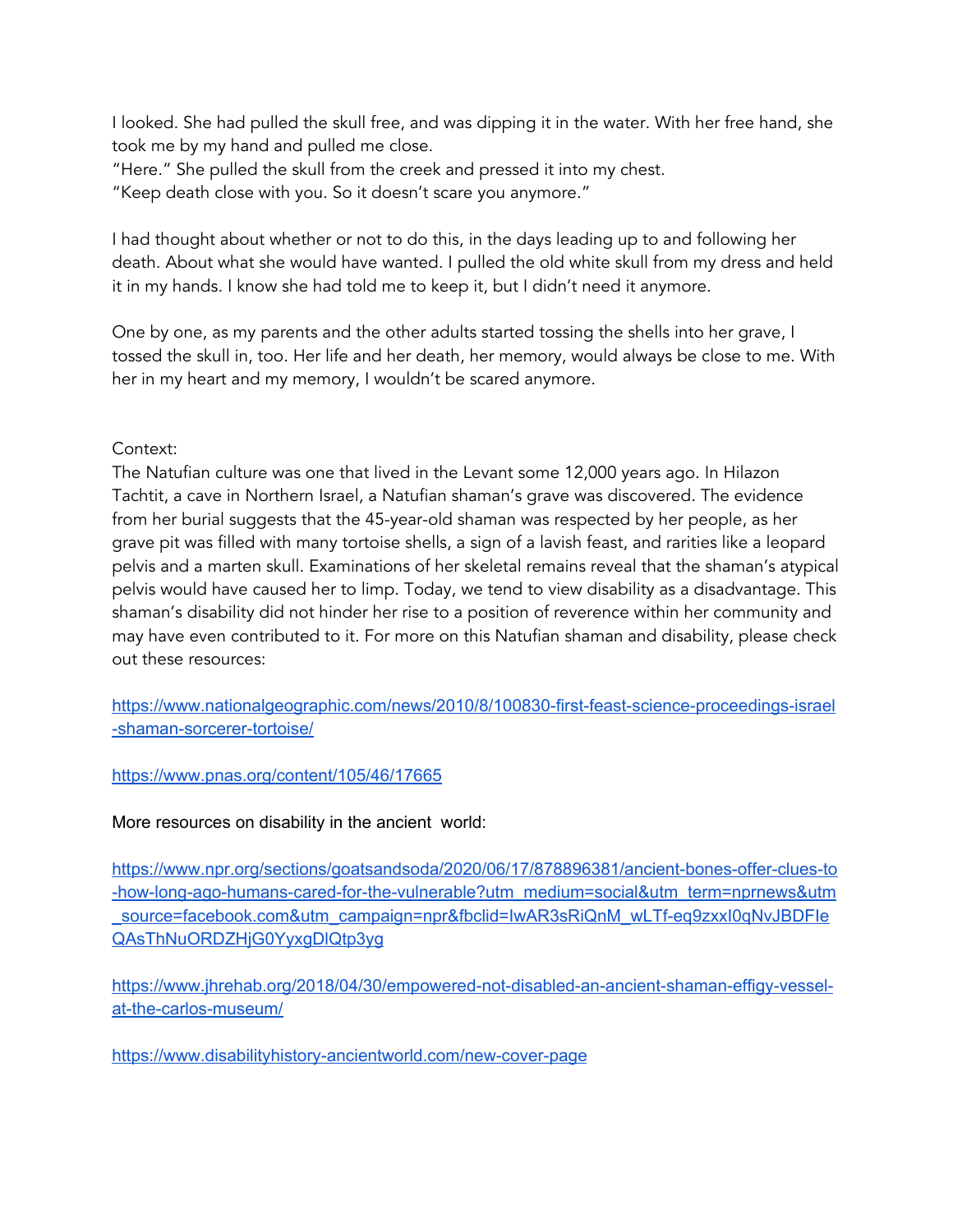I looked. She had pulled the skull free, and was dipping it in the water. With her free hand, she took me by my hand and pulled me close.

"Here." She pulled the skull from the creek and pressed it into my chest.

"Keep death close with you. So it doesn't scare you anymore."

I had thought about whether or not to do this, in the days leading up to and following her death. About what she would have wanted. I pulled the old white skull from my dress and held it in my hands. I know she had told me to keep it, but I didn't need it anymore.

One by one, as my parents and the other adults started tossing the shells into her grave, I tossed the skull in, too. Her life and her death, her memory, would always be close to me. With her in my heart and my memory, I wouldn't be scared anymore.

Context:

The Natufian culture was one that lived in the Levant some 12,000 years ago. In Hilazon Tachtit, a cave in Northern Israel, a Natufian shaman's grave was discovered. The evidence from her burial suggests that the 45-year-old shaman was respected by her people, as her grave pit was filled with many tortoise shells, a sign of a lavish feast, and rarities like a leopard pelvis and a marten skull. Examinations of her skeletal remains reveal that the shaman's atypical pelvis would have caused her to limp. Today, we tend to view disability as a disadvantage. This shaman's disability did not hinder her rise to a position of reverence within her community and may have even contributed to it. For more on this Natufian shaman and disability, please check out these resources:

[https://www.nationalgeographic.com/news/2010/8/100830-first-feast-science-proceedings-israel](https://www.nationalgeographic.com/news/2010/8/100830-first-feast-science-proceedings-israel-shaman-sorcerer-tortoise/) [-shaman-sorcerer-tortoise/](https://www.nationalgeographic.com/news/2010/8/100830-first-feast-science-proceedings-israel-shaman-sorcerer-tortoise/)

<https://www.pnas.org/content/105/46/17665>

More resources on disability in the ancient world:

[https://www.npr.org/sections/goatsandsoda/2020/06/17/878896381/ancient-bones-offer-clues-to](https://www.npr.org/sections/goatsandsoda/2020/06/17/878896381/ancient-bones-offer-clues-to-how-long-ago-humans-cared-for-the-vulnerable?utm_medium=social&utm_term=nprnews&utm_source=facebook.com&utm_campaign=npr&fbclid=IwAR3sRiQnM_wLTf-eq9zxxI0qNvJBDFIeQAsThNuORDZHjG0YyxgDlQtp3yg) [-how-long-ago-humans-cared-for-the-vulnerable?utm\\_medium=social&utm\\_term=nprnews&utm](https://www.npr.org/sections/goatsandsoda/2020/06/17/878896381/ancient-bones-offer-clues-to-how-long-ago-humans-cared-for-the-vulnerable?utm_medium=social&utm_term=nprnews&utm_source=facebook.com&utm_campaign=npr&fbclid=IwAR3sRiQnM_wLTf-eq9zxxI0qNvJBDFIeQAsThNuORDZHjG0YyxgDlQtp3yg) [\\_source=facebook.com&utm\\_campaign=npr&fbclid=IwAR3sRiQnM\\_wLTf-eq9zxxI0qNvJBDFIe](https://www.npr.org/sections/goatsandsoda/2020/06/17/878896381/ancient-bones-offer-clues-to-how-long-ago-humans-cared-for-the-vulnerable?utm_medium=social&utm_term=nprnews&utm_source=facebook.com&utm_campaign=npr&fbclid=IwAR3sRiQnM_wLTf-eq9zxxI0qNvJBDFIeQAsThNuORDZHjG0YyxgDlQtp3yg) [QAsThNuORDZHjG0YyxgDlQtp3yg](https://www.npr.org/sections/goatsandsoda/2020/06/17/878896381/ancient-bones-offer-clues-to-how-long-ago-humans-cared-for-the-vulnerable?utm_medium=social&utm_term=nprnews&utm_source=facebook.com&utm_campaign=npr&fbclid=IwAR3sRiQnM_wLTf-eq9zxxI0qNvJBDFIeQAsThNuORDZHjG0YyxgDlQtp3yg)

[https://www.jhrehab.org/2018/04/30/empowered-not-disabled-an-ancient-shaman-effigy-vessel](https://www.jhrehab.org/2018/04/30/empowered-not-disabled-an-ancient-shaman-effigy-vessel-at-the-carlos-museum/)[at-the-carlos-museum/](https://www.jhrehab.org/2018/04/30/empowered-not-disabled-an-ancient-shaman-effigy-vessel-at-the-carlos-museum/)

<https://www.disabilityhistory-ancientworld.com/new-cover-page>